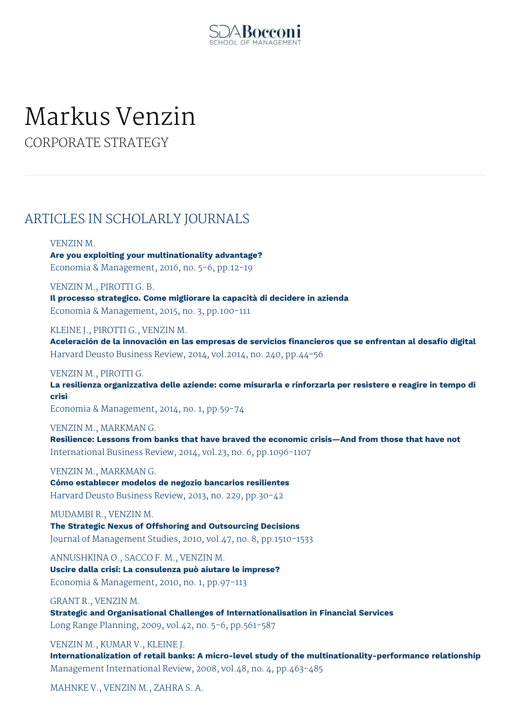

# Markus Venzin

CORPORATE STRATEGY

# ARTICLES IN SCHOLARLY JOURNALS

# VENZIN M.

**Are you exploiting your multinationality advantage?** Economia & Management, 2016, no. 5-6, pp.12-19

VENZIN M., PIROTTI G. B. **Il processo strategico. Come migliorare la capacità di decidere in azienda** Economia & Management, 2015, no. 3, pp.100-111

KLEINE J., PIROTTI G., VENZIN M. **Aceleración de la innovación en las empresas de servicios financieros que se enfrentan al desafío digital** Harvard Deusto Business Review, 2014, vol.2014, no. 240, pp.44-56

VENZIN M., PIROTTI G.

**La resilienza organizzativa delle aziende: come misurarla e rinforzarla per resistere e reagire in tempo di crisi**

Economia & Management, 2014, no. 1, pp.59-74

VENZIN M., MARKMAN G.

**Resilience: Lessons from banks that have braved the economic crisis—And from those that have not** International Business Review, 2014, vol.23, no. 6, pp.1096-1107

VENZIN M., MARKMAN G. **Cómo establecer modelos de negozio bancarios resilientes** Harvard Deusto Business Review, 2013, no. 229, pp.30-42

MUDAMBI R., VENZIN M. **The Strategic Nexus of Offshoring and Outsourcing Decisions** Journal of Management Studies, 2010, vol.47, no. 8, pp.1510-1533

ANNUSHKINA O., SACCO F. M., VENZIN M. **Uscire dalla crisi: La consulenza può aiutare le imprese?** Economia & Management, 2010, no. 1, pp.97-113

GRANT R., VENZIN M. **Strategic and Organisational Challenges of Internationalisation in Financial Services** Long Range Planning, 2009, vol.42, no. 5-6, pp.561-587

VENZIN M., KUMAR V., KLEINE J. **Internationalization of retail banks: A micro-level study of the multinationality-performance relationship** Management International Review, 2008, vol.48, no. 4, pp.463-485

MAHNKE V., VENZIN M., ZAHRA S. A.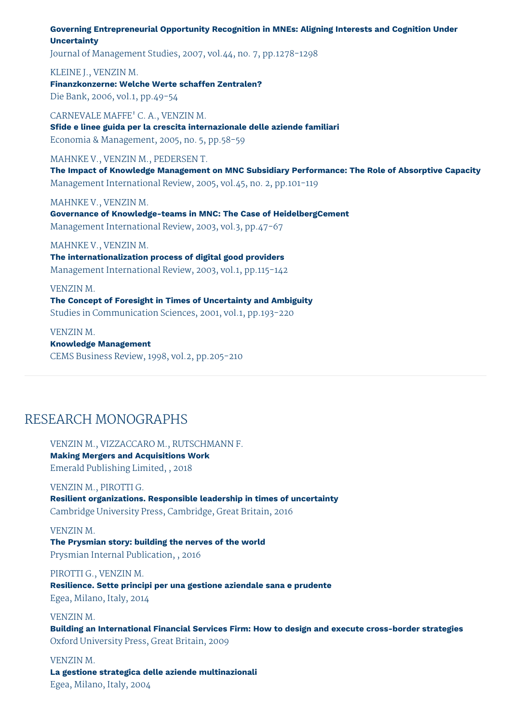## **Governing Entrepreneurial Opportunity Recognition in MNEs: Aligning Interests and Cognition Under Uncertainty**

Journal of Management Studies, 2007, vol.44, no. 7, pp.1278-1298

## KLEINE J., VENZIN M.

**Finanzkonzerne: Welche Werte schaffen Zentralen?** Die Bank, 2006, vol.1, pp.49-54

CARNEVALE MAFFE' C. A., VENZIN M. **Sfide e linee guida per la crescita internazionale delle aziende familiari** Economia & Management, 2005, no. 5, pp.58-59

### MAHNKE V., VENZIN M., PEDERSEN T.

**The Impact of Knowledge Management on MNC Subsidiary Performance: The Role of Absorptive Capacity** Management International Review, 2005, vol.45, no. 2, pp.101-119

MAHNKE V., VENZIN M.

**Governance of Knowledge-teams in MNC: The Case of HeidelbergCement** Management International Review, 2003, vol.3, pp.47-67

### MAHNKE V., VENZIN M.

**The internationalization process of digital good providers** Management International Review, 2003, vol.1, pp.115-142

#### VENZIN M.

**The Concept of Foresight in Times of Uncertainty and Ambiguity** Studies in Communication Sciences, 2001, vol.1, pp.193-220

# VENZIN M. **Knowledge Management** CEMS Business Review, 1998, vol.2, pp.205-210

# RESEARCH MONOGRAPHS

VENZIN M., VIZZACCARO M., RUTSCHMANN F. **Making Mergers and Acquisitions Work** Emerald Publishing Limited, , 2018

VENZIN M., PIROTTI G. **Resilient organizations. Responsible leadership in times of uncertainty** Cambridge University Press, Cambridge, Great Britain, 2016

VENZIN M. **The Prysmian story: building the nerves of the world** Prysmian Internal Publication, , 2016

PIROTTI G., VENZIN M. **Resilience. Sette principi per una gestione aziendale sana e prudente** Egea, Milano, Italy, 2014

VENZIN M. **Building an International Financial Services Firm: How to design and execute cross-border strategies** Oxford University Press, Great Britain, 2009

VENZIN M. **La gestione strategica delle aziende multinazionali** Egea, Milano, Italy, 2004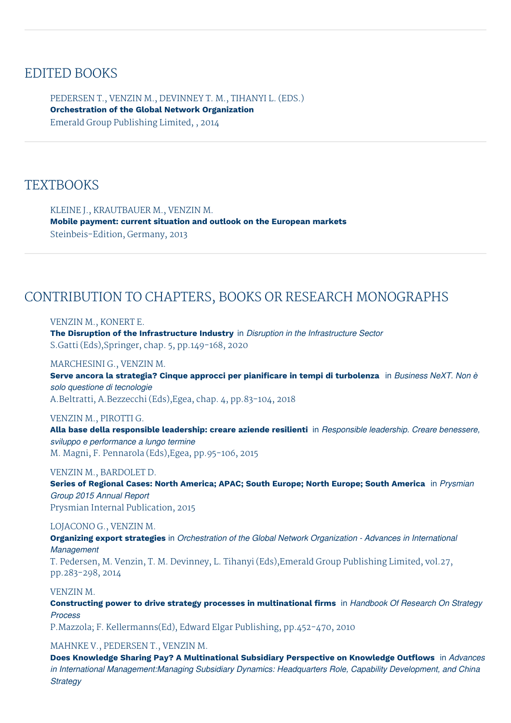# EDITED BOOKS

PEDERSEN T., VENZIN M., DEVINNEY T. M., TIHANYI L. (EDS.) **Orchestration of the Global Network Organization** Emerald Group Publishing Limited, , 2014

# **TEXTBOOKS**

KLEINE J., KRAUTBAUER M., VENZIN M. **Mobile payment: current situation and outlook on the European markets** Steinbeis-Edition, Germany, 2013

# CONTRIBUTION TO CHAPTERS, BOOKS OR RESEARCH MONOGRAPHS

### VENZIN M., KONERT E.

**The Disruption of the Infrastructure Industry** in *Disruption in the Infrastructure Sector* S.Gatti (Eds),Springer, chap. 5, pp.149-168, 2020

## MARCHESINI G., VENZIN M.

**Serve ancora la strategia? Cinque approcci per pianificare in tempi di turbolenza** in *Business NeXT. Non è solo questione di tecnologie*

A.Beltratti, A.Bezzecchi (Eds),Egea, chap. 4, pp.83-104, 2018

# VENZIN M., PIROTTI G.

**Alla base della responsible leadership: creare aziende resilienti** in *Responsible leadership. Creare benessere, sviluppo e performance a lungo termine* M. Magni, F. Pennarola (Eds),Egea, pp.95-106, 2015

### VENZIN M., BARDOLET D.

**Series of Regional Cases: North America; APAC; South Europe; North Europe; South America** in *Prysmian Group 2015 Annual Report* Prysmian Internal Publication, 2015

### LOJACONO G., VENZIN M.

**Organizing export strategies** in *Orchestration of the Global Network Organization - Advances in International Management*

T. Pedersen, M. Venzin, T. M. Devinney, L. Tihanyi (Eds),Emerald Group Publishing Limited, vol.27, pp.283-298, 2014

## VENZIN M.

**Constructing power to drive strategy processes in multinational firms** in *Handbook Of Research On Strategy Process*

P.Mazzola; F. Kellermanns(Ed), Edward Elgar Publishing, pp.452-470, 2010

### MAHNKE V., PEDERSEN T., VENZIN M.

**Does Knowledge Sharing Pay? A Multinational Subsidiary Perspective on Knowledge Outflows** in *Advances in International Management:Managing Subsidiary Dynamics: Headquarters Role, Capability Development, and China Strategy*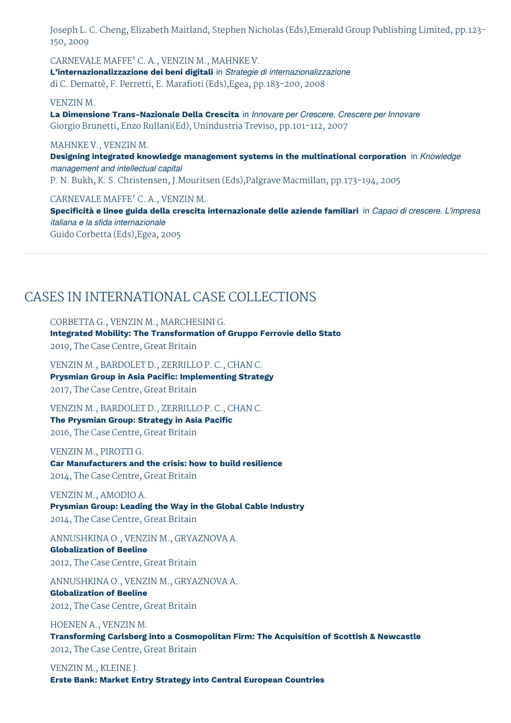Joseph L. C. Cheng, Elizabeth Maitland, Stephen Nicholas (Eds),Emerald Group Publishing Limited, pp.123- 150, 2009

CARNEVALE MAFFE' C. A., VENZIN M., MAHNKE V. **L'internazionalizzazione dei beni digitali** in *Strategie di internazionalizzazione* di C. Demattè, F. Perretti, E. Marafioti (Eds),Egea, pp.183-200, 2008

#### VENZIN M.

**La Dimensione Trans-Nazionale Della Crescita** in *Innovare per Crescere, Crescere per Innovare* Giorgio Brunetti, Enzo Rullani(Ed), Unindustria Treviso, pp.101-112, 2007

## MAHNKE V., VENZIN M.

**Designing integrated knowledge management systems in the multinational corporation** in *Knowledge management and intellectual capital* P. N. Bukh, K. S. Christensen, J.Mouritsen (Eds),Palgrave Macmillan, pp.173-194, 2005

CARNEVALE MAFFE' C. A., VENZIN M.

**Specificità e linee guida della crescita internazionale delle aziende familiari** in *Capaci di crescere. L'impresa italiana e la sfida internazionale* Guido Corbetta (Eds),Egea, 2005

# CASES IN INTERNATIONAL CASE COLLECTIONS

CORBETTA G., VENZIN M., MARCHESINI G.

**Integrated Mobility: The Transformation of Gruppo Ferrovie dello Stato** 2019, The Case Centre, Great Britain

VENZIN M., BARDOLET D., ZERRILLO P. C., CHAN C. **Prysmian Group in Asia Pacific: Implementing Strategy** 2017, The Case Centre, Great Britain

VENZIN M., BARDOLET D., ZERRILLO P. C., CHAN C. **The Prysmian Group: Strategy in Asia Pacific** 2016, The Case Centre, Great Britain

VENZIN M., PIROTTI G. **Car Manufacturers and the crisis: how to build resilience** 2014, The Case Centre, Great Britain

## VENZIN M., AMODIO A.

**Prysmian Group: Leading the Way in the Global Cable Industry** 2014, The Case Centre, Great Britain

ANNUSHKINA O., VENZIN M., GRYAZNOVA A. **Globalization of Beeline** 2012, The Case Centre, Great Britain

ANNUSHKINA O., VENZIN M., GRYAZNOVA A. **Globalization of Beeline** 2012, The Case Centre, Great Britain

HOENEN A., VENZIN M. **Transforming Carlsberg into a Cosmopolitan Firm: The Acquisition of Scottish & Newcastle** 2012, The Case Centre, Great Britain

VENZIN M., KLEINE J. **Erste Bank: Market Entry Strategy into Central European Countries**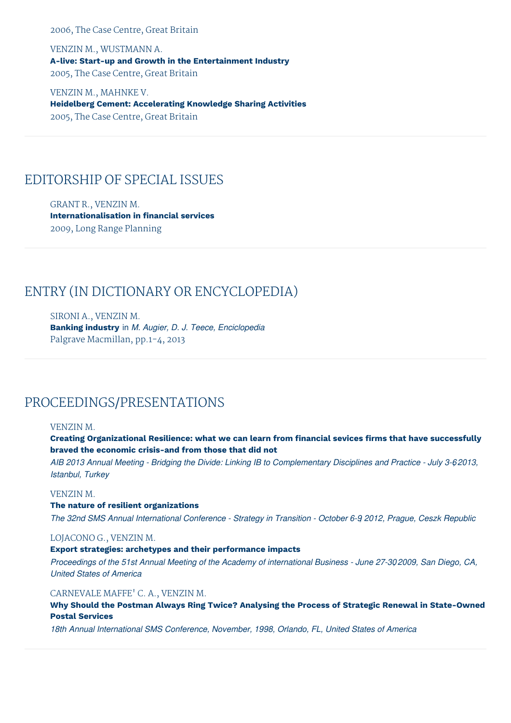2006, The Case Centre, Great Britain

VENZIN M., WUSTMANN A. **A-live: Start-up and Growth in the Entertainment Industry** 2005, The Case Centre, Great Britain

VENZIN M., MAHNKE V. **Heidelberg Cement: Accelerating Knowledge Sharing Activities** 2005, The Case Centre, Great Britain

# EDITORSHIP OF SPECIAL ISSUES

GRANT R., VENZIN M. **Internationalisation in financial services** 2009, Long Range Planning

# ENTRY (IN DICTIONARY OR ENCYCLOPEDIA)

SIRONI A., VENZIN M. **Banking industry** in *M. Augier, D. J. Teece, Enciclopedia* Palgrave Macmillan, pp.1-4, 2013

# PROCEEDINGS/PRESENTATIONS

## VENZIN M.

**Creating Organizational Resilience: what we can learn from financial sevices firms that have successfully braved the economic crisis-and from those that did not**

AIB 2013 Annual Meeting - Bridging the Divide: Linking IB to Complementary Disciplines and Practice - July 3-62013, *Istanbul, Turkey*

## VENZIN M.

**The nature of resilient organizations**

The 32nd SMS Annual International Conference - Strategy in Transition - October 6-9 2012, Prague, Ceszk Republic

### LOJACONO G., VENZIN M.

## **Export strategies: archetypes and their performance impacts**

Proceedings of the 51st Annual Meeting of the Academy of international Business - June 27-30 2009, San Diego, CA, *United States of America*

# CARNEVALE MAFFE' C. A., VENZIN M.

**Why Should the Postman Always Ring Twice? Analysing the Process of Strategic Renewal in State-Owned Postal Services**

*18th Annual International SMS Conference, November, 1998, Orlando, FL, United States of America*